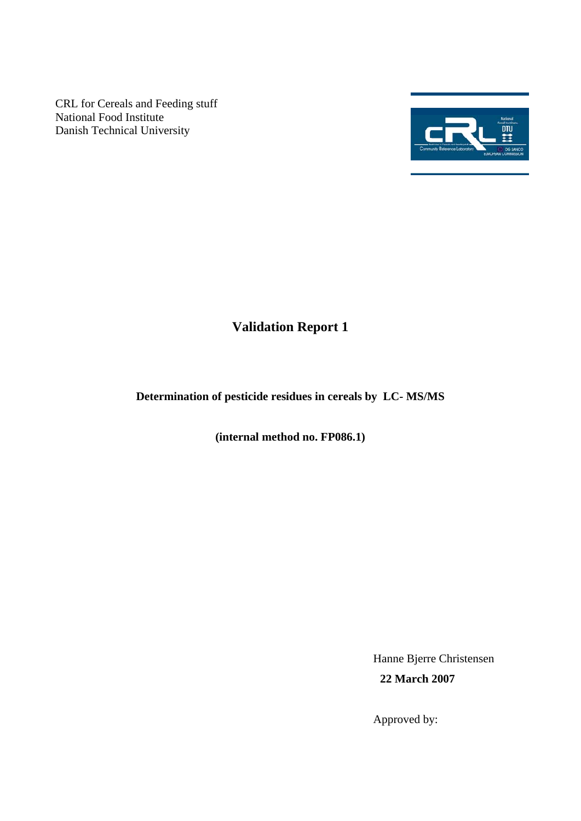CRL for Cereals and Feeding stuff National Food Institute Danish Technical University



# **Validation Report 1**

## **Determination of pesticide residues in cereals by LC- MS/MS**

**(internal method no. FP086.1)** 

Hanne Bjerre Christensen **22 March 2007** 

Approved by: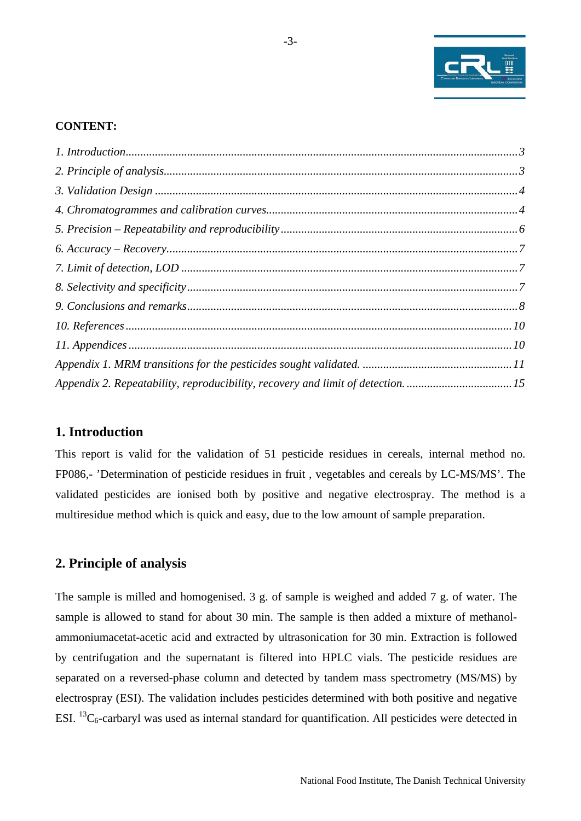

#### <span id="page-2-0"></span>**CONTENT:**

| Appendix 2. Repeatability, reproducibility, recovery and limit of detection. 15 |  |
|---------------------------------------------------------------------------------|--|

## **1. Introduction**

This report is valid for the validation of 51 pesticide residues in cereals, internal method no. FP086,- 'Determination of pesticide residues in fruit, vegetables and cereals by LC-MS/MS'. The validated pesticides are ionised both by positive and negative electrospray. The method is a multiresidue method which is quick and easy, due to the low amount of sample preparation.

#### **2. Principle of analysis**

The sample is milled and homogenised. 3 g. of sample is weighed and added 7 g. of water. The sample is allowed to stand for about 30 min. The sample is then added a mixture of methanolammoniumacetat-acetic acid and extracted by ultrasonication for 30 min. Extraction is followed by centrifugation and the supernatant is filtered into HPLC vials. The pesticide residues are separated on a reversed-phase column and detected by tandem mass spectrometry (MS/MS) by electrospray (ESI). The validation includes pesticides determined with both positive and negative ESI.  ${}^{13}C_6$ -carbaryl was used as internal standard for quantification. All pesticides were detected in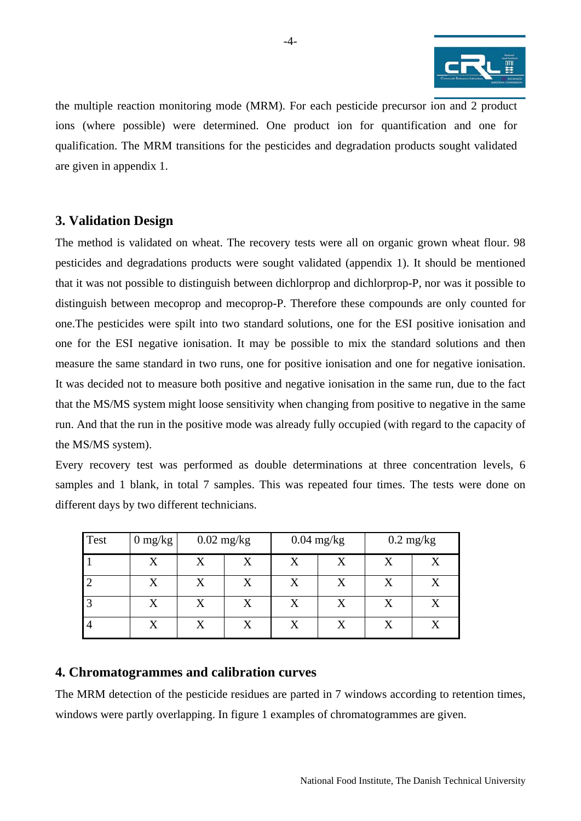

<span id="page-3-0"></span>the multiple reaction monitoring mode (MRM). For each pesticide precursor ion and 2 product ions (where possible) were determined. One product ion for quantification and one for qualification. The MRM transitions for the pesticides and degradation products sought validated are given in appendix 1.

## **3. Validation Design**

The method is validated on wheat. The recovery tests were all on organic grown wheat flour. 98 pesticides and degradations products were sought validated (appendix 1). It should be mentioned that it was not possible to distinguish between dichlorprop and dichlorprop-P, nor was it possible to distinguish between mecoprop and mecoprop-P. Therefore these compounds are only counted for one.The pesticides were spilt into two standard solutions, one for the ESI positive ionisation and one for the ESI negative ionisation. It may be possible to mix the standard solutions and then measure the same standard in two runs, one for positive ionisation and one for negative ionisation. It was decided not to measure both positive and negative ionisation in the same run, due to the fact that the MS/MS system might loose sensitivity when changing from positive to negative in the same run. And that the run in the positive mode was already fully occupied (with regard to the capacity of the MS/MS system).

Every recovery test was performed as double determinations at three concentration levels, 6 samples and 1 blank, in total 7 samples. This was repeated four times. The tests were done on different days by two different technicians.

| <b>Test</b> | $0 \frac{\text{mg}}{\text{kg}}$ | $0.02 \text{ mg/kg}$ |   | $0.04$ mg/kg |                   |   | $0.2 \text{ mg/kg}$ |  |
|-------------|---------------------------------|----------------------|---|--------------|-------------------|---|---------------------|--|
|             | $\rm\overline{X}$               | X                    | X | X            | $\rm X$           | X | X                   |  |
|             | $\rm\overline{X}$               | X                    |   | X            | $\rm\overline{X}$ |   | X                   |  |
|             | X                               | X                    |   | X            | $\rm X$           |   |                     |  |
| 4           |                                 |                      |   | $\rm X$      | X                 |   |                     |  |

#### **4. Chromatogrammes and calibration curves**

The MRM detection of the pesticide residues are parted in 7 windows according to retention times, windows were partly overlapping. In figure 1 examples of chromatogrammes are given.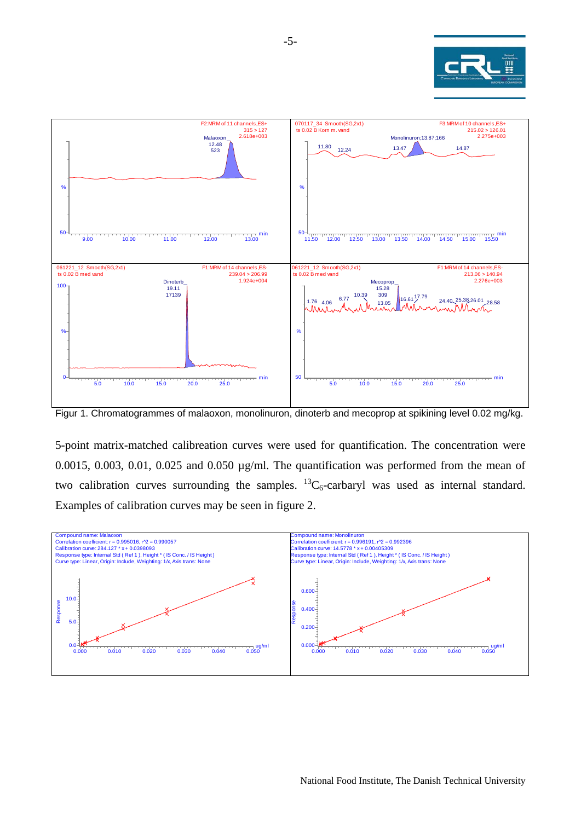



Figur 1. Chromatogrammes of malaoxon, monolinuron, dinoterb and mecoprop at spikining level 0.02 mg/kg.

5-point matrix-matched calibreation curves were used for quantification. The concentration were 0.0015, 0.003, 0.01, 0.025 and 0.050  $\mu$ g/ml. The quantification was performed from the mean of two calibration curves surrounding the samples.  ${}^{13}C_6$ -carbaryl was used as internal standard. Examples of calibration curves may be seen in figure 2.

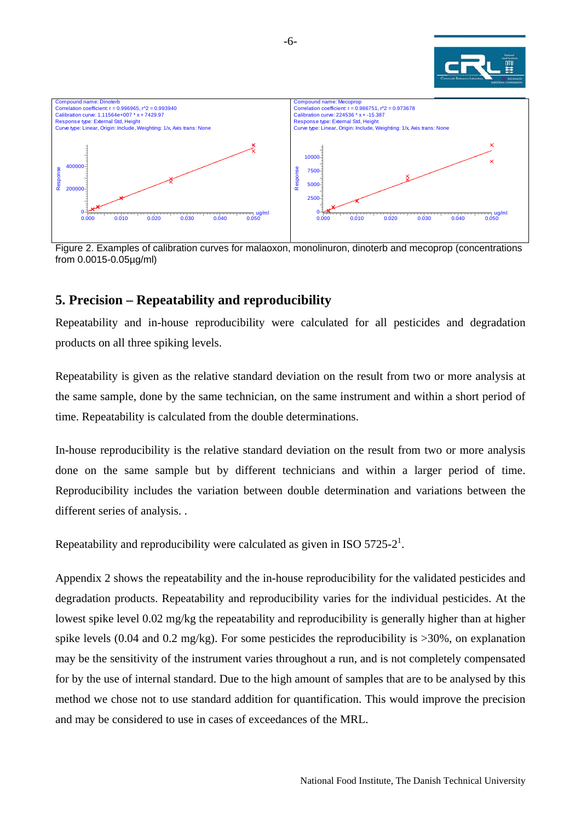

<span id="page-5-0"></span>

Figure 2. Examples of calibration curves for malaoxon, monolinuron, dinoterb and mecoprop (concentrations from 0.0015-0.05µg/ml)

## **5. Precision – Repeatability and reproducibility**

Repeatability and in-house reproducibility were calculated for all pesticides and degradation products on all three spiking levels.

Repeatability is given as the relative standard deviation on the result from two or more analysis at the same sample, done by the same technician, on the same instrument and within a short period of time. Repeatability is calculated from the double determinations.

In-house reproducibility is the relative standard deviation on the result from two or more analysis done on the same sample but by different technicians and within a larger period of time. Reproducibility includes the variation between double determination and variations between the different series of analysis. .

Repeatability and reproducibility were calculated as given in ISO 5725-2<sup>1</sup>.

Appendix 2 shows the repeatability and the in-house reproducibility for the validated pesticides and degradation products. Repeatability and reproducibility varies for the individual pesticides. At the lowest spike level 0.02 mg/kg the repeatability and reproducibility is generally higher than at higher spike levels (0.04 and 0.2 mg/kg). For some pesticides the reproducibility is  $>30\%$ , on explanation may be the sensitivity of the instrument varies throughout a run, and is not completely compensated for by the use of internal standard. Due to the high amount of samples that are to be analysed by this method we chose not to use standard addition for quantification. This would improve the precision and may be considered to use in cases of exceedances of the MRL.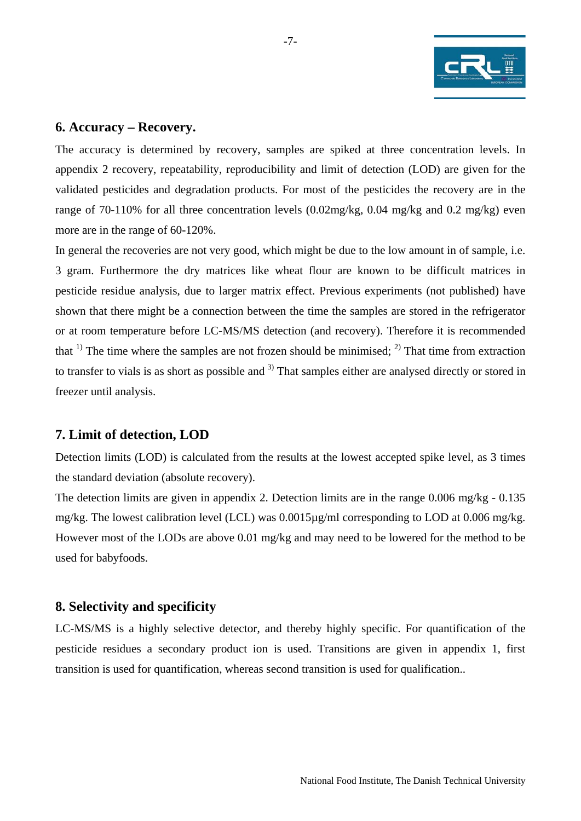

## <span id="page-6-0"></span>**6. Accuracy – Recovery.**

The accuracy is determined by recovery, samples are spiked at three concentration levels. In appendix 2 recovery, repeatability, reproducibility and limit of detection (LOD) are given for the validated pesticides and degradation products. For most of the pesticides the recovery are in the range of 70-110% for all three concentration levels (0.02mg/kg, 0.04 mg/kg and 0.2 mg/kg) even more are in the range of 60-120%.

In general the recoveries are not very good, which might be due to the low amount in of sample, i.e. 3 gram. Furthermore the dry matrices like wheat flour are known to be difficult matrices in pesticide residue analysis, due to larger matrix effect. Previous experiments (not published) have shown that there might be a connection between the time the samples are stored in the refrigerator or at room temperature before LC-MS/MS detection (and recovery). Therefore it is recommended that  $(1)$ . The time where the samples are not frozen should be minimised;  $(2)$ . That time from extraction to transfer to vials is as short as possible and <sup>3)</sup> That samples either are analysed directly or stored in freezer until analysis.

#### **7. Limit of detection, LOD**

Detection limits (LOD) is calculated from the results at the lowest accepted spike level, as 3 times the standard deviation (absolute recovery).

The detection limits are given in appendix 2. Detection limits are in the range 0.006 mg/kg - 0.135 mg/kg. The lowest calibration level (LCL) was 0.0015µg/ml corresponding to LOD at 0.006 mg/kg. However most of the LODs are above 0.01 mg/kg and may need to be lowered for the method to be used for babyfoods.

## **8. Selectivity and specificity**

LC-MS/MS is a highly selective detector, and thereby highly specific. For quantification of the pesticide residues a secondary product ion is used. Transitions are given in appendix 1, first transition is used for quantification, whereas second transition is used for qualification..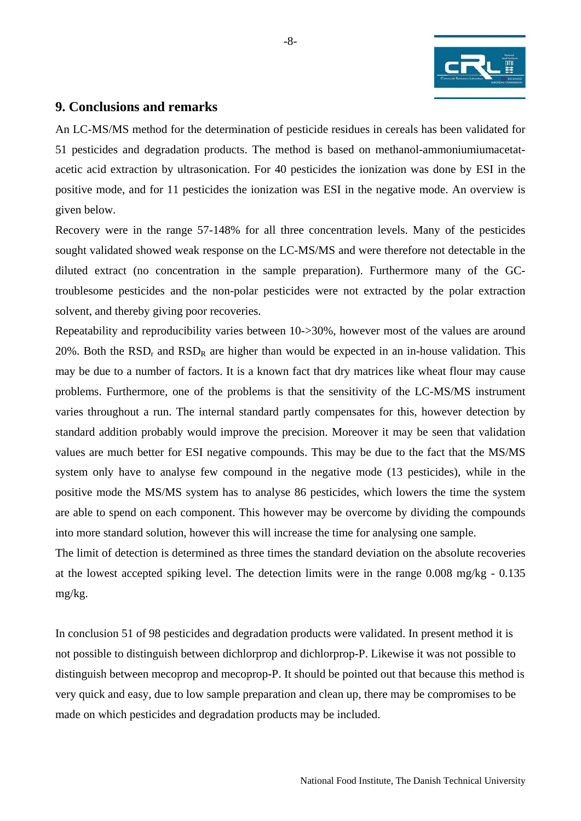

## <span id="page-7-0"></span>**9. Conclusions and remarks**

An LC-MS/MS method for the determination of pesticide residues in cereals has been validated for 51 pesticides and degradation products. The method is based on methanol-ammoniumiumacetatacetic acid extraction by ultrasonication. For 40 pesticides the ionization was done by ESI in the positive mode, and for 11 pesticides the ionization was ESI in the negative mode. An overview is given below.

Recovery were in the range 57-148% for all three concentration levels. Many of the pesticides sought validated showed weak response on the LC-MS/MS and were therefore not detectable in the diluted extract (no concentration in the sample preparation). Furthermore many of the GCtroublesome pesticides and the non-polar pesticides were not extracted by the polar extraction solvent, and thereby giving poor recoveries.

Repeatability and reproducibility varies between 10->30%, however most of the values are around 20%. Both the  $RSD<sub>r</sub>$  and  $RSD<sub>R</sub>$  are higher than would be expected in an in-house validation. This may be due to a number of factors. It is a known fact that dry matrices like wheat flour may cause problems. Furthermore, one of the problems is that the sensitivity of the LC-MS/MS instrument varies throughout a run. The internal standard partly compensates for this, however detection by standard addition probably would improve the precision. Moreover it may be seen that validation values are much better for ESI negative compounds. This may be due to the fact that the MS/MS system only have to analyse few compound in the negative mode (13 pesticides), while in the positive mode the MS/MS system has to analyse 86 pesticides, which lowers the time the system are able to spend on each component. This however may be overcome by dividing the compounds into more standard solution, however this will increase the time for analysing one sample.

The limit of detection is determined as three times the standard deviation on the absolute recoveries at the lowest accepted spiking level. The detection limits were in the range 0.008 mg/kg - 0.135 mg/kg.

In conclusion 51 of 98 pesticides and degradation products were validated. In present method it is not possible to distinguish between dichlorprop and dichlorprop-P. Likewise it was not possible to distinguish between mecoprop and mecoprop-P. It should be pointed out that because this method is very quick and easy, due to low sample preparation and clean up, there may be compromises to be made on which pesticides and degradation products may be included.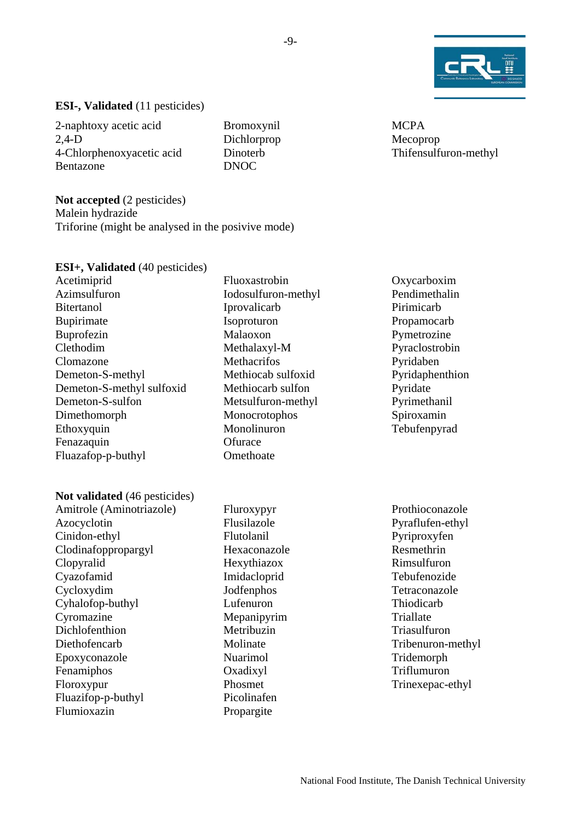

#### **ESI-, Validated** (11 pesticides)

2-naphtoxy acetic acid 2,4-D 4-Chlorphenoxyacetic acid Bentazone

Bromoxynil Dichlorprop Dinoterb DNOC

**Not accepted** (2 pesticides) Malein hydrazide Triforine (might be analysed in the posivive mode)

#### **ESI+, Validated** (40 pesticides)

Acetimiprid Azimsulfuron **Bitertanol** Bupirimate Buprofezin Clethodim Clomazone Demeton-S-methyl Demeton-S-methyl sulfoxid Demeton-S-sulfon Dimethomorph Ethoxyquin Fenazaquin Fluazafop-p-buthyl

#### **Not validated** (46 pesticides)

Amitrole (Aminotriazole) Azocyclotin Cinidon-ethyl Clodinafoppropargyl Clopyralid Cyazofamid Cycloxydim Cyhalofop-buthyl Cyromazine Dichlofenthion Diethofencarb Epoxyconazole Fenamiphos Floroxypur Fluazifop-p-buthyl Flumioxazin

Fluoxastrobin Iodosulfuron-methyl Iprovalicarb Isoproturon Malaoxon Methalaxyl-M **Methacrifos** Methiocab sulfoxid Methiocarb sulfon Metsulfuron-methyl Monocrotophos Monolinuron **Ofurace Omethoate** 

Fluroxypyr Flusilazole Flutolanil Hexaconazole Hexythiazox Imidacloprid Jodfenphos Lufenuron Mepanipyrim Metribuzin Molinate Nuarimol Oxadixyl Phosmet Picolinafen Propargite

**MCPA** Mecoprop Thifensulfuron-methyl

Oxycarboxim Pendimethalin Pirimicarb Propamocarb Pymetrozine Pyraclostrobin Pyridaben Pyridaphenthion Pyridate Pyrimethanil Spiroxamin Tebufenpyrad

Prothioconazole Pyraflufen-ethyl Pyriproxyfen Resmethrin Rimsulfuron Tebufenozide Tetraconazole Thiodicarb **Triallate** Triasulfuron Tribenuron-methyl Tridemorph Triflumuron Trinexepac-ethyl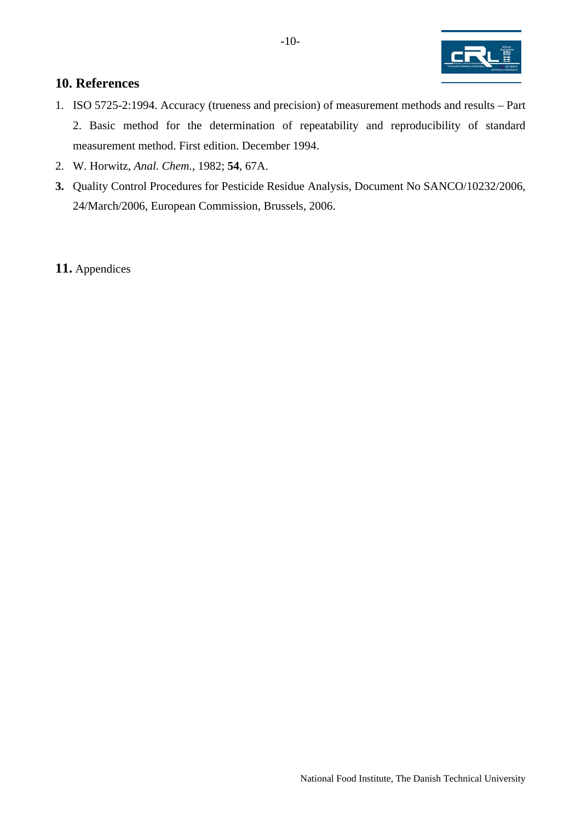

## <span id="page-9-0"></span>**10. References**

- 1. ISO 5725-2:1994. Accuracy (trueness and precision) of measurement methods and results Part 2. Basic method for the determination of repeatability and reproducibility of standard measurement method. First edition. December 1994.
- 2. W. Horwitz, *Anal. Chem.,* 1982; **54**, 67A.
- **3.** Quality Control Procedures for Pesticide Residue Analysis, Document No SANCO/10232/2006, 24/March/2006, European Commission, Brussels, 2006.

#### **11.** Appendices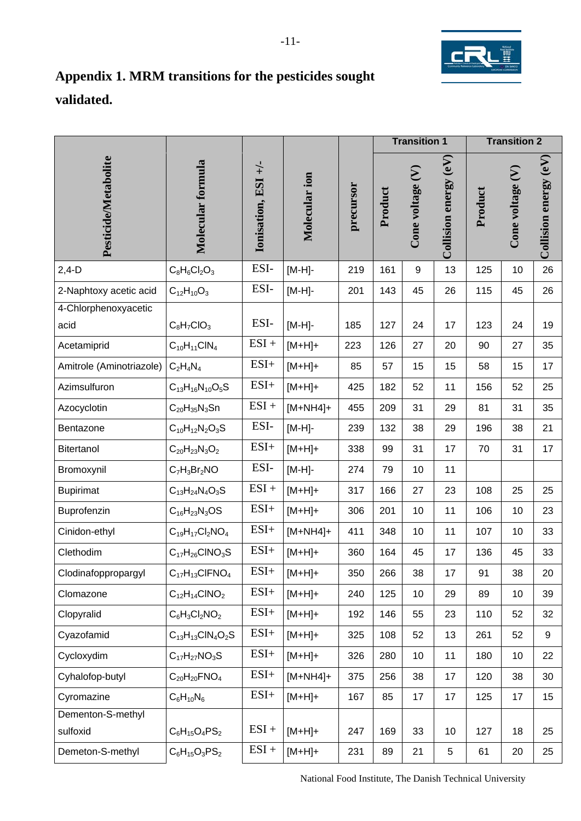

# <span id="page-10-0"></span>**Appendix 1. MRM transitions for the pesticides sought validated.**

|                               |                           |                     |               |           |         | <b>Transition 1</b> |                         |         | <b>Transition 2</b> |                       |
|-------------------------------|---------------------------|---------------------|---------------|-----------|---------|---------------------|-------------------------|---------|---------------------|-----------------------|
| Pesticide/Metabolite          | <b>Molecular formula</b>  | Ionisation, ESI +/- | Molecular ion | precursor | Product | Cone voltage (V)    | Collision energy $(eV)$ | Product | Cone voltage (V)    | Collision energy (eV) |
| $2,4-D$                       | $C_8H_6Cl_2O_3$           | ESI-                | $[M-H]$ -     | 219       | 161     | 9                   | 13                      | 125     | 10                  | 26                    |
| 2-Naphtoxy acetic acid        | $C_{12}H_{10}O_3$         | ESI-                | $[M-H]$ -     | 201       | 143     | 45                  | 26                      | 115     | 45                  | 26                    |
| 4-Chlorphenoxyacetic<br>acid  | $C_8H_7ClO_3$             | ESI-                | $[M-H]$ -     | 185       | 127     | 24                  | 17                      | 123     | 24                  | 19                    |
| Acetamiprid                   | $C_{10}H_{11}CIN_4$       | $ESI +$             | $[M+H]+$      | 223       | 126     | 27                  | 20                      | 90      | 27                  | 35                    |
| Amitrole (Aminotriazole)      | $C_2H_4N_4$               | $ESI+$              | $[M+H]+$      | 85        | 57      | 15                  | 15                      | 58      | 15                  | 17                    |
| Azimsulfuron                  | $C_{13}H_{16}N_{10}O_5S$  | $ESI+$              | $[M+H]+$      | 425       | 182     | 52                  | 11                      | 156     | 52                  | 25                    |
| Azocyclotin                   | $C_{20}H_{35}N_3$ Sn      | $ESI +$             | $[M+NH4]+$    | 455       | 209     | 31                  | 29                      | 81      | 31                  | 35                    |
| Bentazone                     | $C_{10}H_{12}N_2O_3S$     | ESI-                | $[M-H]$ -     | 239       | 132     | 38                  | 29                      | 196     | 38                  | 21                    |
| Bitertanol                    | $C_{20}H_{23}N_3O_2$      | $ESI+$              | $[M+H]+$      | 338       | 99      | 31                  | 17                      | 70      | 31                  | 17                    |
| Bromoxynil                    | $C_7H_3Br_2NO$            | ESI-                | $[M-H]$ -     | 274       | 79      | 10                  | 11                      |         |                     |                       |
| <b>Bupirimat</b>              | $C_{13}H_{24}N_{4}O_{3}S$ | $ESI +$             | $[M+H]+$      | 317       | 166     | 27                  | 23                      | 108     | 25                  | 25                    |
| Buprofenzin                   | $C_{16}H_{23}N_3OS$       | $ESI+$              | $[M+H]+$      | 306       | 201     | 10                  | 11                      | 106     | 10                  | 23                    |
| Cinidon-ethyl                 | $C_{19}H_{17}Cl_2NO_4$    | $ESI+$              | $[M+NH4]+$    | 411       | 348     | 10                  | 11                      | 107     | 10                  | 33                    |
| Clethodim                     | $C_{17}H_{26}CINO_3S$     | $ESI+$              | $[M+H]+$      | 360       | 164     | 45                  | 17                      | 136     | 45                  | 33                    |
| Clodinafoppropargyl           | $C_{17}H_{13}CIFNO4$      | ESI+                | $[M+H]+$      | 350       | 266     | 38                  | 17                      | 91      | 38                  | 20                    |
| Clomazone                     | $C_{12}H_{14}CINO_2$      | $ESI+$              | $[M+H]+$      | 240       | 125     | 10                  | 29                      | 89      | 10                  | 39                    |
| Clopyralid                    | $C_6H_3Cl_2NO_2$          | $ESI+$              | $[M+H]+$      | 192       | 146     | 55                  | 23                      | 110     | 52                  | 32                    |
| Cyazofamid                    | $C_{13}H_{13}CIN_4O_2S$   | $ESI+$              | $[M+H]+$      | 325       | 108     | 52                  | 13                      | 261     | 52                  | 9                     |
| Cycloxydim                    | $C_{17}H_{27}NO_3S$       | $ESI+$              | $[M+H]+$      | 326       | 280     | 10                  | 11                      | 180     | 10                  | 22                    |
| Cyhalofop-butyl               | $C_{20}H_{20}FNO_4$       | $ESI+$              | $[M+NH4]+$    | 375       | 256     | 38                  | 17                      | 120     | 38                  | 30                    |
| Cyromazine                    | $C_6H_{10}N_6$            | $ESI+$              | $[M+H]+$      | 167       | 85      | 17                  | 17                      | 125     | 17                  | 15                    |
| Dementon-S-methyl<br>sulfoxid | $C_6H_{15}O_4PS_2$        | $ESI +$             | $[M+H]+$      | 247       | 169     | 33                  | 10                      | 127     | 18                  | 25                    |
| Demeton-S-methyl              | $C_6H_{15}O_3PS_2$        | $ESI +$             | $[M+H]+$      | 231       | 89      | 21                  | $\sqrt{5}$              | 61      | 20                  | 25                    |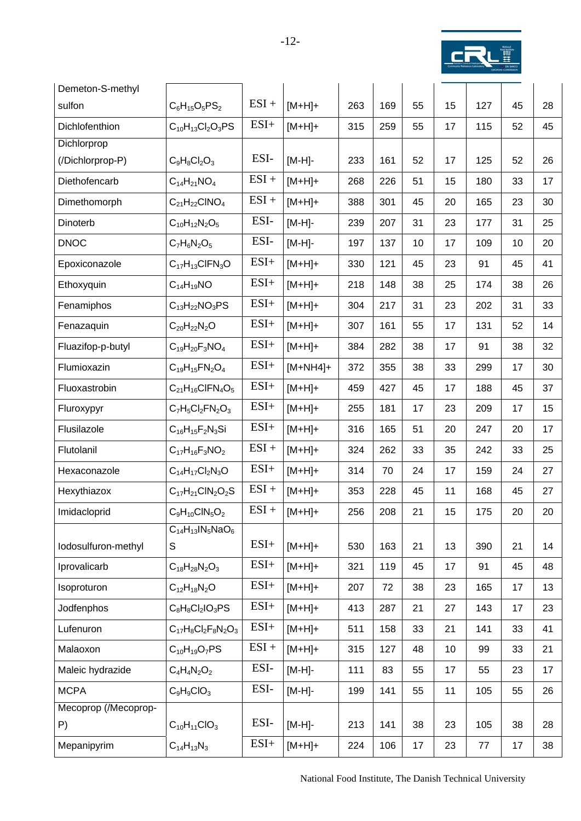

| Demeton-S-methyl     |                            |         |            |     |     |    |    |     |    |    |
|----------------------|----------------------------|---------|------------|-----|-----|----|----|-----|----|----|
| sulfon               | $C_6H_{15}O_5PS_2$         | $ESI +$ | $[M+H]+$   | 263 | 169 | 55 | 15 | 127 | 45 | 28 |
| Dichlofenthion       | $C_{10}H_{13}Cl_2O_3PS$    | $ESI+$  | $[M+H]+$   | 315 | 259 | 55 | 17 | 115 | 52 | 45 |
| Dichlorprop          |                            |         |            |     |     |    |    |     |    |    |
| (/Dichlorprop-P)     | $C_9H_8Cl_2O_3$            | ESI-    | $[M-H]$ -  | 233 | 161 | 52 | 17 | 125 | 52 | 26 |
| Diethofencarb        | $C_{14}H_{21}NO_4$         | $ESI +$ | $[M+H]+$   | 268 | 226 | 51 | 15 | 180 | 33 | 17 |
| Dimethomorph         | $C_{21}H_{22}CINO_4$       | $ESI +$ | $[M+H]+$   | 388 | 301 | 45 | 20 | 165 | 23 | 30 |
| Dinoterb             | $C_{10}H_{12}N_2O_5$       | ESI-    | $[M-H]$ -  | 239 | 207 | 31 | 23 | 177 | 31 | 25 |
| <b>DNOC</b>          | $C_7H_6N_2O_5$             | ESI-    | [M-H]-     | 197 | 137 | 10 | 17 | 109 | 10 | 20 |
| Epoxiconazole        | $C_{17}H_{13}CIFN_3O$      | $ESI+$  | $[M+H]+$   | 330 | 121 | 45 | 23 | 91  | 45 | 41 |
| Ethoxyquin           | $C_{14}H_{19}NO$           | $ESI+$  | $[M+H]+$   | 218 | 148 | 38 | 25 | 174 | 38 | 26 |
| Fenamiphos           | $C_{13}H_{22}NO_3PS$       | $ESI+$  | $[M+H]+$   | 304 | 217 | 31 | 23 | 202 | 31 | 33 |
| Fenazaquin           | $C_{20}H_{22}N_2O$         | $ESI+$  | $[M+H]+$   | 307 | 161 | 55 | 17 | 131 | 52 | 14 |
| Fluazifop-p-butyl    | $C_{19}H_{20}F_3NO_4$      | $ESI+$  | $[M+H]+$   | 384 | 282 | 38 | 17 | 91  | 38 | 32 |
| Flumioxazin          | $C_{19}H_{15}FN_{2}O_{4}$  | $ESI+$  | $[M+NH4]+$ | 372 | 355 | 38 | 33 | 299 | 17 | 30 |
| Fluoxastrobin        | $C_{21}H_{16}CIFN_4O_5$    | $ESI+$  | $[M+H]+$   | 459 | 427 | 45 | 17 | 188 | 45 | 37 |
| Fluroxypyr           | $C_7H_5Cl_2FN_2O_3$        | $ESI+$  | $[M+H]+$   | 255 | 181 | 17 | 23 | 209 | 17 | 15 |
| Flusilazole          | $C_{16}H_{15}F_{2}N_{3}Si$ | $ESI+$  | $[M+H]+$   | 316 | 165 | 51 | 20 | 247 | 20 | 17 |
| Flutolanil           | $C_{17}H_{16}F_3NO_2$      | $ESI +$ | $[M+H]+$   | 324 | 262 | 33 | 35 | 242 | 33 | 25 |
| Hexaconazole         | $C_{14}H_{17}Cl_2N_3O$     | $ESI+$  | $[M+H]+$   | 314 | 70  | 24 | 17 | 159 | 24 | 27 |
| Hexythiazox          | $C_{17}H_{21}CIN_2O_2S$    | $ESI +$ | $[M+H]+$   | 353 | 228 | 45 | 11 | 168 | 45 | 27 |
| Imidacloprid         | $C_9H_{10}CIN_5O_2$        | $ESI +$ | $[M+H]+$   | 256 | 208 | 21 | 15 | 175 | 20 | 20 |
|                      | $C_{14}H_{13}IN_5NaO_6$    |         |            |     |     |    |    |     |    |    |
| lodosulfuron-methyl  | S                          | $ESI+$  | $[M+H]+$   | 530 | 163 | 21 | 13 | 390 | 21 | 14 |
| Iprovalicarb         | $C_{18}H_{28}N_2O_3$       | $ESI+$  | $[M+H]+$   | 321 | 119 | 45 | 17 | 91  | 45 | 48 |
| Isoproturon          | $C_{12}H_{18}N_2O$         | $ESI+$  | $[M+H]+$   | 207 | 72  | 38 | 23 | 165 | 17 | 13 |
| Jodfenphos           | $C_8H_8Cl_2IO_3PS$         | $ESI+$  | $[M+H]+$   | 413 | 287 | 21 | 27 | 143 | 17 | 23 |
| Lufenuron            | $C_{17}H_8Cl_2F_8N_2O_3$   | $ESI+$  | $[M+H]+$   | 511 | 158 | 33 | 21 | 141 | 33 | 41 |
| Malaoxon             | $C_{10}H_{19}O_7PS$        | $ESI +$ | $[M+H]+$   | 315 | 127 | 48 | 10 | 99  | 33 | 21 |
| Maleic hydrazide     | $C_4H_4N_2O_2$             | ESI-    | $[M-H]$ -  | 111 | 83  | 55 | 17 | 55  | 23 | 17 |
| <b>MCPA</b>          | $C_9H_9ClO_3$              | ESI-    | $[M-H]$ -  | 199 | 141 | 55 | 11 | 105 | 55 | 26 |
| Mecoprop (/Mecoprop- |                            |         |            |     |     |    |    |     |    |    |
| P)                   | $C_{10}H_{11}ClO_3$        | ESI-    | $[M-H]$ -  | 213 | 141 | 38 | 23 | 105 | 38 | 28 |
| Mepanipyrim          | $C_{14}H_{13}N_3$          | $ESI+$  | $[M+H]+$   | 224 | 106 | 17 | 23 | 77  | 17 | 38 |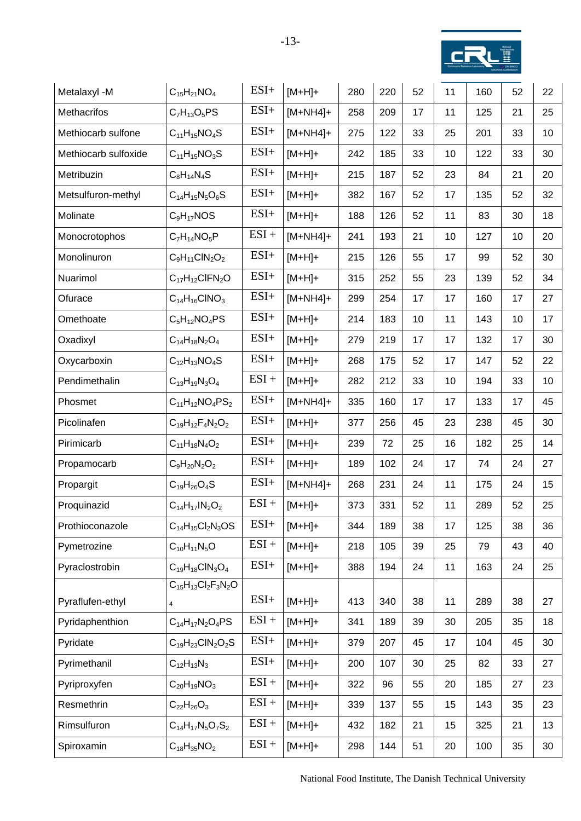

| Metalaxyl -M         | $C_{15}H_{21}NO_4$            | $ESI+$  | $[M+H]+$   | 280 | 220 | 52 | 11 | 160 | 52 | 22              |
|----------------------|-------------------------------|---------|------------|-----|-----|----|----|-----|----|-----------------|
| Methacrifos          | $C_7H_{13}O_5PS$              | $ESI+$  | $[M+NH4]+$ | 258 | 209 | 17 | 11 | 125 | 21 | 25              |
| Methiocarb sulfone   | $C_{11}H_{15}NO_4S$           | $ESI+$  | $[M+NH4]+$ | 275 | 122 | 33 | 25 | 201 | 33 | 10              |
| Methiocarb sulfoxide | $C_{11}H_{15}NO_3S$           | $ESI+$  | $[M+H]+$   | 242 | 185 | 33 | 10 | 122 | 33 | 30              |
| Metribuzin           | $C_8H_{14}N_4S$               | $ESI+$  | $[M+H]+$   | 215 | 187 | 52 | 23 | 84  | 21 | 20              |
| Metsulfuron-methyl   | $C_{14}H_{15}N_5O_6S$         | $ESI+$  | $[M+H]+$   | 382 | 167 | 52 | 17 | 135 | 52 | 32              |
| Molinate             | $C_9H_{17}NOS$                | $ESI+$  | $[M+H]+$   | 188 | 126 | 52 | 11 | 83  | 30 | 18              |
| Monocrotophos        | $C_7H_{14}NO_5P$              | $ESI +$ | $[M+NH4]+$ | 241 | 193 | 21 | 10 | 127 | 10 | 20              |
| Monolinuron          | $C_9H_{11}CIN_2O_2$           | $ESI+$  | $[M+H]+$   | 215 | 126 | 55 | 17 | 99  | 52 | 30              |
| Nuarimol             | $C_{17}H_{12}CIFN_2O$         | $ESI+$  | $[M+H]+$   | 315 | 252 | 55 | 23 | 139 | 52 | 34              |
| Ofurace              | $C_{14}H_{16}CINO_3$          | $ESI+$  | $[M+NH4]+$ | 299 | 254 | 17 | 17 | 160 | 17 | 27              |
| Omethoate            | $C_5H_{12}NO_4PS$             | $ESI+$  | $[M+H]+$   | 214 | 183 | 10 | 11 | 143 | 10 | 17              |
| Oxadixyl             | $C_{14}H_{18}N_2O_4$          | $ESI+$  | $[M+H]+$   | 279 | 219 | 17 | 17 | 132 | 17 | 30              |
| Oxycarboxin          | $C_{12}H_{13}NO_4S$           | $ESI+$  | $[M+H]+$   | 268 | 175 | 52 | 17 | 147 | 52 | 22              |
| Pendimethalin        | $C_{13}H_{19}N_3O_4$          | $ESI +$ | $[M+H]+$   | 282 | 212 | 33 | 10 | 194 | 33 | 10 <sup>1</sup> |
| Phosmet              | $C_{11}H_{12}NO_4PS_2$        | $ESI+$  | $[M+NH4]+$ | 335 | 160 | 17 | 17 | 133 | 17 | 45              |
| Picolinafen          | $C_{19}H_{12}F_{4}N_{2}O_{2}$ | $ESI+$  | $[M+H]+$   | 377 | 256 | 45 | 23 | 238 | 45 | 30              |
| Pirimicarb           | $C_{11}H_{18}N_4O_2$          | $ESI+$  | $[M+H]+$   | 239 | 72  | 25 | 16 | 182 | 25 | 14              |
| Propamocarb          | $C_9H_{20}N_2O_2$             | $ESI+$  | $[M+H]+$   | 189 | 102 | 24 | 17 | 74  | 24 | 27              |
| Propargit            | $C_{19}H_{26}O_4S$            | $ESI+$  | $[M+NH4]+$ | 268 | 231 | 24 | 11 | 175 | 24 | 15              |
| Proquinazid          | $C_{14}H_{17}IN_2O_2$         | $ESI +$ | $[M+H]+$   | 373 | 331 | 52 | 11 | 289 | 52 | 25              |
| Prothioconazole      | $C_{14}H_{15}Cl_2N_3OS$       | $ESI+$  | $[M+H]+$   | 344 | 189 | 38 | 17 | 125 | 38 | 36              |
| Pymetrozine          | $C_{10}H_{11}N_5O$            | $ESI +$ | $[M+H]+$   | 218 | 105 | 39 | 25 | 79  | 43 | 40              |
| Pyraclostrobin       | $C_{19}H_{18}CIN_3O_4$        | $ESI+$  | $[M+H]+$   | 388 | 194 | 24 | 11 | 163 | 24 | 25              |
|                      | $C_{15}H_{13}Cl_2F_3N_2O$     |         |            |     |     |    |    |     |    |                 |
| Pyraflufen-ethyl     | $\sqrt{4}$                    | $ESI+$  | $[M+H]+$   | 413 | 340 | 38 | 11 | 289 | 38 | 27              |
| Pyridaphenthion      | $C_{14}H_{17}N_2O_4PS$        | $ESI +$ | $[M+H]+$   | 341 | 189 | 39 | 30 | 205 | 35 | 18              |
| Pyridate             | $C_{19}H_{23}CIN_2O_2S$       | $ESI+$  | $[M+H]+$   | 379 | 207 | 45 | 17 | 104 | 45 | 30              |
| Pyrimethanil         | $C_{12}H_{13}N_3$             | $ESI+$  | $[M+H]+$   | 200 | 107 | 30 | 25 | 82  | 33 | 27              |
| Pyriproxyfen         | $C_{20}H_{19}NO_3$            | $ESI +$ | $[M+H]+$   | 322 | 96  | 55 | 20 | 185 | 27 | 23              |
| Resmethrin           | $C_{22}H_{26}O_3$             | $ESI +$ | $[M+H]+$   | 339 | 137 | 55 | 15 | 143 | 35 | 23              |
| Rimsulfuron          | $C_{14}H_{17}N_5O_7S_2$       | $ESI +$ | $[M+H]+$   | 432 | 182 | 21 | 15 | 325 | 21 | 13              |
| Spiroxamin           | $C_{18}H_{35}NO_2$            | $ESI +$ | $[M+H]+$   | 298 | 144 | 51 | 20 | 100 | 35 | 30              |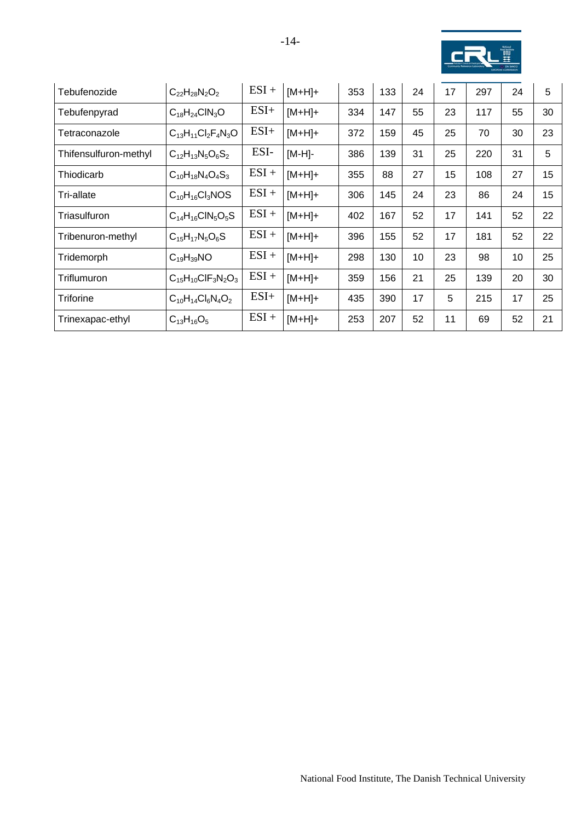

| Tebufenozide          | $C_{22}H_{28}N_2O_2$            | $ESI +$ | $[M+H]+$  | 353 | 133 | 24 | 17 | 297 | 24 | 5                |
|-----------------------|---------------------------------|---------|-----------|-----|-----|----|----|-----|----|------------------|
| Tebufenpyrad          | $C_{18}H_{24}CIN_3O$            | $ESI+$  | $[M+H]+$  | 334 | 147 | 55 | 23 | 117 | 55 | 30               |
| Tetraconazole         | $C_{13}H_{11}Cl_2F_4N_3O$       | $ESI+$  | $[M+H]+$  | 372 | 159 | 45 | 25 | 70  | 30 | 23               |
| Thifensulfuron-methyl | $C_{12}H_{13}N_5O_6S_2$         | ESI-    | $[M-H]$ - | 386 | 139 | 31 | 25 | 220 | 31 | 5                |
| Thiodicarb            | $C_{10}H_{18}N_4O_4S_3$         | $ESI +$ | $[M+H]+$  | 355 | 88  | 27 | 15 | 108 | 27 | 15               |
| Tri-allate            | $C_{10}H_{16}Cl_3NOS$           | $ESI +$ | $[M+H]+$  | 306 | 145 | 24 | 23 | 86  | 24 | 15 <sub>15</sub> |
| Triasulfuron          | $C_{14}H_{16}CIN_5O_5S$         | $ESI +$ | $[M+H]+$  | 402 | 167 | 52 | 17 | 141 | 52 | 22               |
| Tribenuron-methyl     | $C_{15}H_{17}N_5O_6S$           | $ESI +$ | $[M+H]+$  | 396 | 155 | 52 | 17 | 181 | 52 | 22               |
| Tridemorph            | $C_{19}H_{39}NO$                | $ESI +$ | $[M+H]+$  | 298 | 130 | 10 | 23 | 98  | 10 | 25               |
| Triflumuron           | $C_{15}H_{10}CIF_{3}N_{2}O_{3}$ | $ESI +$ | $[M+H]+$  | 359 | 156 | 21 | 25 | 139 | 20 | 30               |
| <b>Triforine</b>      | $C_{10}H_{14}Cl_6N_4O_2$        | $ESI+$  | $[M+H]+$  | 435 | 390 | 17 | 5  | 215 | 17 | 25               |
| Trinexapac-ethyl      | $C_{13}H_{16}O_5$               | $ESI +$ | $[M+H]+$  | 253 | 207 | 52 | 11 | 69  | 52 | 21               |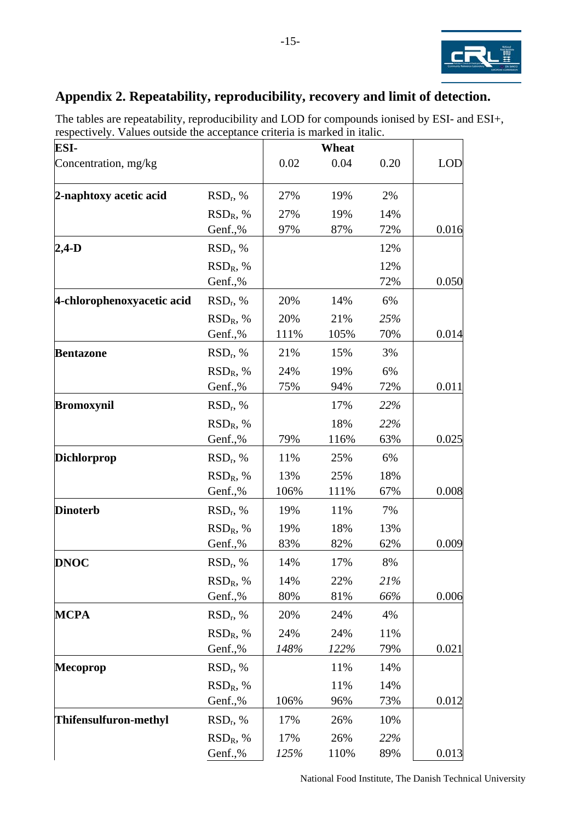

## <span id="page-14-0"></span>**Appendix 2. Repeatability, reproducibility, recovery and limit of detection.**

| ESI-                       |             |      | Wheat |      |            |
|----------------------------|-------------|------|-------|------|------------|
| Concentration, mg/kg       |             | 0.02 | 0.04  | 0.20 | <b>LOD</b> |
| 2-naphtoxy acetic acid     | $RSD_r$ , % | 27%  | 19%   | 2%   |            |
|                            | $RSD_R$ , % | 27%  | 19%   | 14%  |            |
|                            | Genf.,%     | 97%  | 87%   | 72%  | 0.016      |
| $2,4$ -D                   | $RSD_r$ , % |      |       | 12%  |            |
|                            | $RSD_R$ , % |      |       | 12%  |            |
|                            | Genf.,%     |      |       | 72%  | 0.050      |
| 4-chlorophenoxyacetic acid | $RSD_r$ , % | 20%  | 14%   | 6%   |            |
|                            | $RSD_R$ , % | 20%  | 21%   | 25%  |            |
|                            | Genf.,%     | 111% | 105%  | 70%  | 0.014      |
| <b>Bentazone</b>           | $RSD_r$ , % | 21%  | 15%   | 3%   |            |
|                            | $RSD_R$ , % | 24%  | 19%   | 6%   |            |
|                            | Genf.,%     | 75%  | 94%   | 72%  | 0.011      |
| <b>Bromoxynil</b>          | $RSD_r$ , % |      | 17%   | 22%  |            |
|                            | $RSD_R$ , % |      | 18%   | 22%  |            |
|                            | Genf.,%     | 79%  | 116%  | 63%  | 0.025      |
| <b>Dichlorprop</b>         | $RSD_r$ , % | 11%  | 25%   | 6%   |            |
|                            | $RSD_R$ , % | 13%  | 25%   | 18%  |            |
|                            | Genf.,%     | 106% | 111%  | 67%  | 0.008      |
| <b>Dinoterb</b>            | $RSD_r$ , % | 19%  | 11%   | 7%   |            |
|                            | $RSD_R$ , % | 19%  | 18%   | 13%  |            |
|                            | Genf.,%     | 83%  | 82%   | 62%  | 0.009      |
| <b>DNOC</b>                | $RSD_r$ , % | 14%  | 17%   | 8%   |            |
|                            | $RSD_R$ , % | 14%  | 22%   | 21%  |            |
|                            | Genf.,%     | 80%  | 81%   | 66%  | 0.006      |
| <b>MCPA</b>                | $RSD_r$ , % | 20%  | 24%   | 4%   |            |
|                            | $RSD_R$ , % | 24%  | 24%   | 11%  |            |
|                            | Genf.,%     | 148% | 122%  | 79%  | 0.021      |
| <b>Mecoprop</b>            | $RSD_r$ , % |      | 11%   | 14%  |            |
|                            | $RSD_R$ , % |      | 11%   | 14%  |            |
|                            | Genf.,%     | 106% | 96%   | 73%  | 0.012      |
| Thifensulfuron-methyl      | $RSD_r$ , % | 17%  | 26%   | 10%  |            |
|                            | $RSD_R$ , % | 17%  | 26%   | 22%  |            |
|                            | Genf.,%     | 125% | 110%  | 89%  | 0.013      |

The tables are repeatability, reproducibility and LOD for compounds ionised by ESI- and ESI+, respectively. Values outside the acceptance criteria is marked in italic.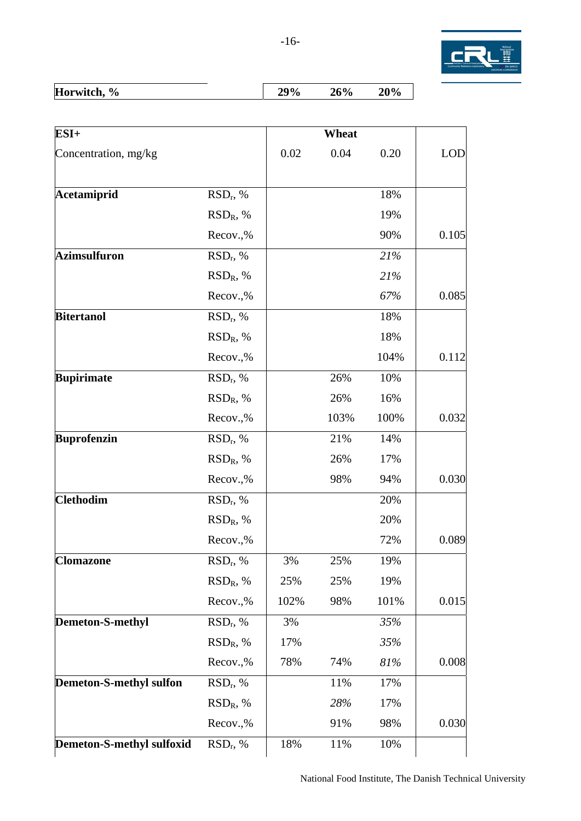

| -------<br>tch.<br>ΉК<br><u>-w.</u><br>'U<br>--- |  | H<br>$\mathbf{O}_{\mathbf{O}}$ |  |  |  |
|--------------------------------------------------|--|--------------------------------|--|--|--|
|--------------------------------------------------|--|--------------------------------|--|--|--|

| ESI+                             |                      |      | Wheat |      |            |
|----------------------------------|----------------------|------|-------|------|------------|
| Concentration, mg/kg             |                      | 0.02 | 0.04  | 0.20 | <b>LOD</b> |
| Acetamiprid                      | $RSD_r$ , %          |      |       | 18%  |            |
|                                  | $RSD_R$ , %          |      |       | 19%  |            |
|                                  | Recov.,%             |      |       | 90%  | 0.105      |
| <b>Azimsulfuron</b>              | $RSD_r$ , %          |      |       | 21%  |            |
|                                  | $RSD_R$ , %          |      |       | 21%  |            |
|                                  | Recov.,%             |      |       | 67%  | 0.085      |
| <b>Bitertanol</b>                | $RSD_r$ , %          |      |       | 18%  |            |
|                                  | $RSD_R$ , %          |      |       | 18%  |            |
|                                  | Recov.,%             |      |       | 104% | 0.112      |
| <b>Bupirimate</b>                | $RSD_r$ , %          |      | 26%   | 10%  |            |
|                                  | $RSD_R$ , %          |      | 26%   | 16%  |            |
|                                  | Recov.,%             |      | 103%  | 100% | 0.032      |
| <b>Buprofenzin</b>               | RSD <sub>r</sub> , % |      | 21%   | 14%  |            |
|                                  | $RSD_R$ , %          |      | 26%   | 17%  |            |
|                                  | Recov.,%             |      | 98%   | 94%  | 0.030      |
| <b>Clethodim</b>                 | $RSD_r$ , %          |      |       | 20%  |            |
|                                  | $RSD_R$ , %          |      |       | 20%  |            |
|                                  | Recov.,%             |      |       | 72%  | 0.089      |
| <b>Clomazone</b>                 | $RSD_r$ , %          | 3%   | 25%   | 19%  |            |
|                                  | $RSD_R$ , %          | 25%  | 25%   | 19%  |            |
|                                  | Recov.,%             | 102% | 98%   | 101% | 0.015      |
| Demeton-S-methyl                 | $RSD_r$ , %          | 3%   |       | 35%  |            |
|                                  | $RSD_R$ , %          | 17%  |       | 35%  |            |
|                                  | Recov.,%             | 78%  | 74%   | 81%  | 0.008      |
| <b>Demeton-S-methyl sulfon</b>   | $RSD_r$ , %          |      | 11%   | 17%  |            |
|                                  | $RSD_R$ , %          |      | 28%   | 17%  |            |
|                                  | Recov.,%             |      | 91%   | 98%  | 0.030      |
| <b>Demeton-S-methyl sulfoxid</b> | $RSD_r$ , %          | 18%  | 11%   | 10%  |            |
|                                  |                      |      |       |      |            |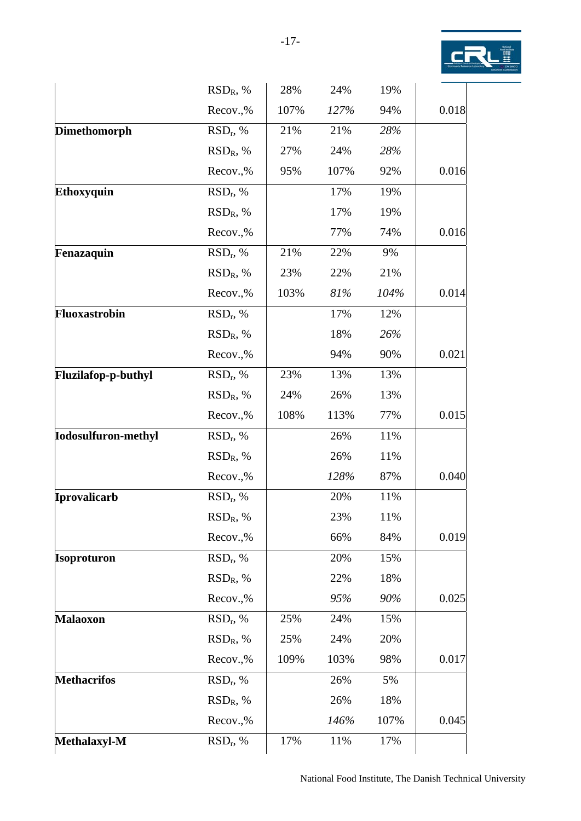

|                            | $RSD_R$ , %          | 28%  | 24%  | 19%  |       |
|----------------------------|----------------------|------|------|------|-------|
|                            | Recov.,%             | 107% | 127% | 94%  | 0.018 |
| <b>Dimethomorph</b>        | $RSD_r$ , %          | 21%  | 21%  | 28%  |       |
|                            | $RSD_R$ , %          | 27%  | 24%  | 28%  |       |
|                            | Recov.,%             | 95%  | 107% | 92%  | 0.016 |
| Ethoxyquin                 | RSD <sub>r</sub> , % |      | 17%  | 19%  |       |
|                            | $RSD_R$ , %          |      | 17%  | 19%  |       |
|                            | Recov.,%             |      | 77%  | 74%  | 0.016 |
| Fenazaquin                 | $RSD_r$ , %          | 21%  | 22%  | 9%   |       |
|                            | $RSD_R$ , %          | 23%  | 22%  | 21%  |       |
|                            | Recov.,%             | 103% | 81%  | 104% | 0.014 |
| Fluoxastrobin              | $RSD_r$ , %          |      | 17%  | 12%  |       |
|                            | $RSD_R$ , %          |      | 18%  | 26%  |       |
|                            | Recov.,%             |      | 94%  | 90%  | 0.021 |
| Fluzilafop-p-buthyl        | $RSD_r$ , %          | 23%  | 13%  | 13%  |       |
|                            | $RSD_R$ , %          | 24%  | 26%  | 13%  |       |
|                            | Recov.,%             | 108% | 113% | 77%  | 0.015 |
| <b>Iodosulfuron-methyl</b> | $RSD_r$ , %          |      | 26%  | 11%  |       |
|                            | $RSD_R$ , %          |      | 26%  | 11%  |       |
|                            | Recov.,%             |      | 128% | 87%  | 0.040 |
| Iprovalicarb               | RSD <sub>r</sub> , % |      | 20%  | 11%  |       |
|                            | $RSD_R$ , %          |      | 23%  | 11%  |       |
|                            | Recov.,%             |      | 66%  | 84%  | 0.019 |
| <b>Isoproturon</b>         | $RSD_r$ , %          |      | 20%  | 15%  |       |
|                            | $RSD_R$ , %          |      | 22%  | 18%  |       |
|                            | Recov.,%             |      | 95%  | 90%  | 0.025 |
| <b>Malaoxon</b>            | $RSD_r$ , %          | 25%  | 24%  | 15%  |       |
|                            | $RSD_R$ , %          | 25%  | 24%  | 20%  |       |
|                            | Recov.,%             | 109% | 103% | 98%  | 0.017 |
| <b>Methacrifos</b>         | $RSD_r$ , %          |      | 26%  | 5%   |       |
|                            | $RSD_R$ , %          |      | 26%  | 18%  |       |
|                            | Recov.,%             |      | 146% | 107% | 0.045 |
| Methalaxyl-M               | $RSD_r$ , %          | 17%  | 11%  | 17%  |       |
|                            |                      |      |      |      |       |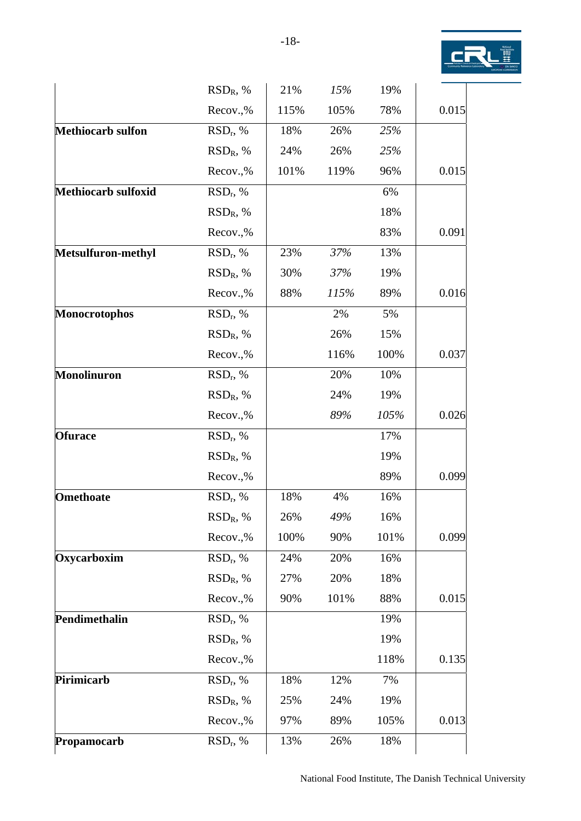

|                            | $RSD_R$ , %          | 21%  | 15%  | 19%  |       |
|----------------------------|----------------------|------|------|------|-------|
|                            | Recov.,%             | 115% | 105% | 78%  | 0.015 |
| <b>Methiocarb sulfon</b>   | $RSD_r$ , %          | 18%  | 26%  | 25%  |       |
|                            | $RSD_R$ , %          | 24%  | 26%  | 25%  |       |
|                            | Recov.,%             | 101% | 119% | 96%  | 0.015 |
| <b>Methiocarb sulfoxid</b> | $RSD_r$ , %          |      |      | 6%   |       |
|                            | $RSD_R$ , %          |      |      | 18%  |       |
|                            | Recov.,%             |      |      | 83%  | 0.091 |
| Metsulfuron-methyl         | $RSD_r$ , %          | 23%  | 37%  | 13%  |       |
|                            | $RSD_R$ , %          | 30%  | 37%  | 19%  |       |
|                            | Recov.,%             | 88%  | 115% | 89%  | 0.016 |
| <b>Monocrotophos</b>       | $RSD_r$ , %          |      | 2%   | 5%   |       |
|                            | $RSD_R$ , %          |      | 26%  | 15%  |       |
|                            | Recov.,%             |      | 116% | 100% | 0.037 |
| <b>Monolinuron</b>         | RSD <sub>r</sub> , % |      | 20%  | 10%  |       |
|                            | $RSD_R$ , %          |      | 24%  | 19%  |       |
|                            | Recov.,%             |      | 89%  | 105% | 0.026 |
| <b>Ofurace</b>             | $RSD_r$ , %          |      |      | 17%  |       |
|                            | $RSD_R$ , %          |      |      | 19%  |       |
|                            | Recov.,%             |      |      | 89%  | 0.099 |
| <b>Omethoate</b>           | $RSD_r$ , %          | 18%  | 4%   | 16%  |       |
|                            | $RSD_R$ , %          | 26%  | 49%  | 16%  |       |
|                            | Recov.,%             | 100% | 90%  | 101% | 0.099 |
| Oxycarboxim                | $RSD_r$ , %          | 24%  | 20%  | 16%  |       |
|                            | $RSD_R$ , %          | 27%  | 20%  | 18%  |       |
|                            | Recov.,%             | 90%  | 101% | 88%  | 0.015 |
| Pendimethalin              | $RSD_r$ , %          |      |      | 19%  |       |
|                            | $RSD_R$ , %          |      |      | 19%  |       |
|                            | Recov.,%             |      |      | 118% | 0.135 |
| Pirimicarb                 | $RSD_r$ , %          | 18%  | 12%  | 7%   |       |
|                            | $RSD_R$ , %          | 25%  | 24%  | 19%  |       |
|                            | Recov.,%             | 97%  | 89%  | 105% | 0.013 |
| Propamocarb                | $RSD_r$ , %          | 13%  | 26%  | 18%  |       |
|                            |                      |      |      |      |       |